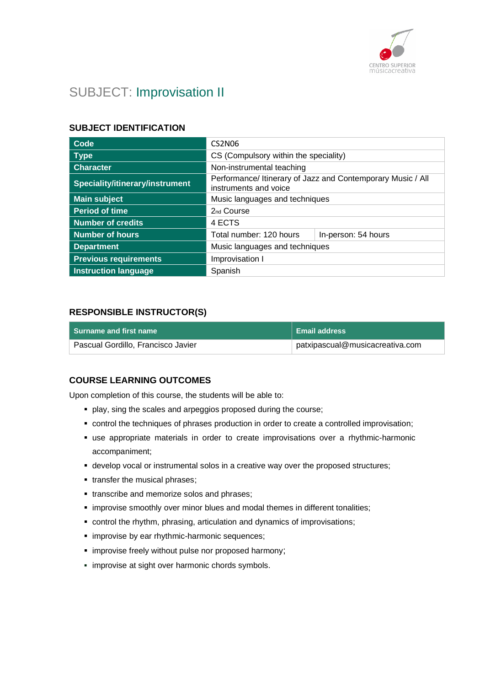

# SUBJECT: Improvisation II

### **SUBJECT IDENTIFICATION**

| Code                            | <b>CS2N06</b>                                                                        |                     |
|---------------------------------|--------------------------------------------------------------------------------------|---------------------|
| <b>Type</b>                     | CS (Compulsory within the speciality)                                                |                     |
| <b>Character</b>                | Non-instrumental teaching                                                            |                     |
| Speciality/itinerary/instrument | Performance/ Itinerary of Jazz and Contemporary Music / All<br>instruments and voice |                     |
| <b>Main subject</b>             | Music languages and techniques                                                       |                     |
| <b>Period of time</b>           | 2nd Course                                                                           |                     |
| <b>Number of credits</b>        | 4 ECTS                                                                               |                     |
| <b>Number of hours</b>          | Total number: 120 hours                                                              | In-person: 54 hours |
| <b>Department</b>               | Music languages and techniques                                                       |                     |
| <b>Previous requirements</b>    | Improvisation I                                                                      |                     |
| <b>Instruction language</b>     | Spanish                                                                              |                     |

### **RESPONSIBLE INSTRUCTOR(S)**

| l Surname and first name           | ∣ Email address                 |
|------------------------------------|---------------------------------|
| Pascual Gordillo, Francisco Javier | patxipascual@musicacreativa.com |

### **COURSE LEARNING OUTCOMES**

Upon completion of this course, the students will be able to:

- play, sing the scales and arpeggios proposed during the course;
- control the techniques of phrases production in order to create a controlled improvisation;
- use appropriate materials in order to create improvisations over a rhythmic-harmonic accompaniment;
- **.** develop vocal or instrumental solos in a creative way over the proposed structures;
- **·** transfer the musical phrases;
- **.** transcribe and memorize solos and phrases;
- **·** improvise smoothly over minor blues and modal themes in different tonalities;
- control the rhythm, phrasing, articulation and dynamics of improvisations;
- **·** improvise by ear rhythmic-harmonic sequences;
- **·** improvise freely without pulse nor proposed harmony;
- **·** improvise at sight over harmonic chords symbols.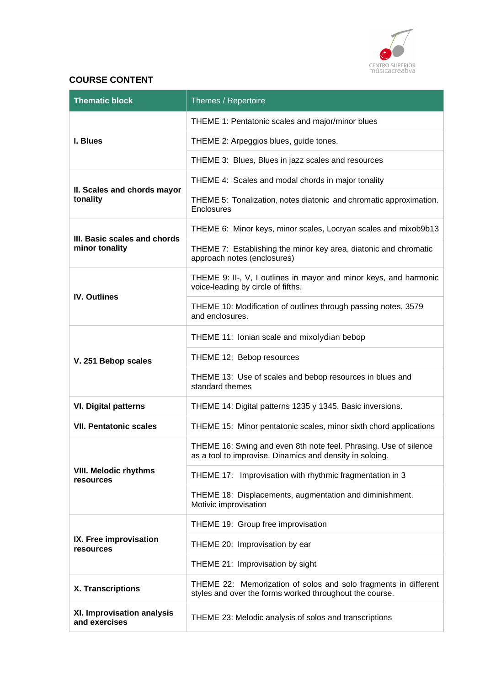

# **COURSE CONTENT**

| <b>Thematic block</b>                       | Themes / Repertoire                                                                                                          |
|---------------------------------------------|------------------------------------------------------------------------------------------------------------------------------|
|                                             | THEME 1: Pentatonic scales and major/minor blues                                                                             |
| I. Blues                                    | THEME 2: Arpeggios blues, guide tones.                                                                                       |
|                                             | THEME 3: Blues, Blues in jazz scales and resources                                                                           |
| II. Scales and chords mayor                 | THEME 4: Scales and modal chords in major tonality                                                                           |
| tonality                                    | THEME 5: Tonalization, notes diatonic and chromatic approximation.<br><b>Enclosures</b>                                      |
| III. Basic scales and chords                | THEME 6: Minor keys, minor scales, Locryan scales and mixob9b13                                                              |
| minor tonality                              | THEME 7: Establishing the minor key area, diatonic and chromatic<br>approach notes (enclosures)                              |
| <b>IV. Outlines</b>                         | THEME 9: II-, V, I outlines in mayor and minor keys, and harmonic<br>voice-leading by circle of fifths.                      |
|                                             | THEME 10: Modification of outlines through passing notes, 3579<br>and enclosures.                                            |
| V. 251 Bebop scales                         | THEME 11: Ionian scale and mixolydian bebop                                                                                  |
|                                             | THEME 12: Bebop resources                                                                                                    |
|                                             | THEME 13: Use of scales and bebop resources in blues and<br>standard themes                                                  |
| <b>VI. Digital patterns</b>                 | THEME 14: Digital patterns 1235 y 1345. Basic inversions.                                                                    |
| <b>VII. Pentatonic scales</b>               | THEME 15: Minor pentatonic scales, minor sixth chord applications                                                            |
|                                             | THEME 16: Swing and even 8th note feel. Phrasing. Use of silence<br>as a tool to improvise. Dinamics and density in soloing. |
| <b>VIII. Melodic rhythms</b><br>resources   | THEME 17: Improvisation with rhythmic fragmentation in 3                                                                     |
|                                             | THEME 18: Displacements, augmentation and diminishment.<br>Motivic improvisation                                             |
|                                             | THEME 19: Group free improvisation                                                                                           |
| IX. Free improvisation<br>resources         | THEME 20: Improvisation by ear                                                                                               |
|                                             | THEME 21: Improvisation by sight                                                                                             |
| X. Transcriptions                           | THEME 22: Memorization of solos and solo fragments in different<br>styles and over the forms worked throughout the course.   |
| XI. Improvisation analysis<br>and exercises | THEME 23: Melodic analysis of solos and transcriptions                                                                       |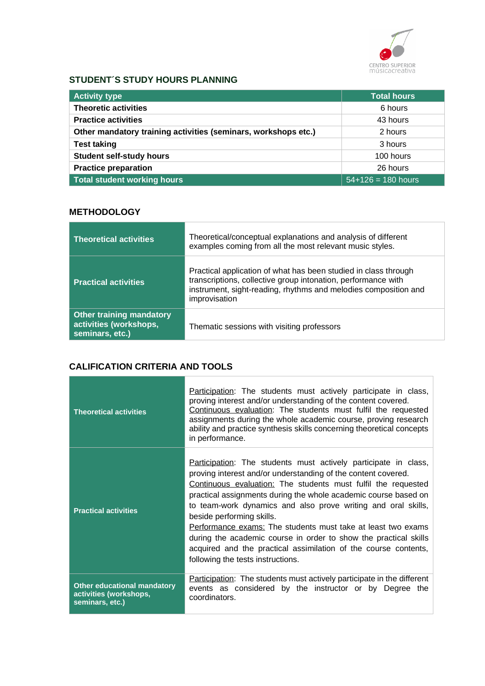

# **STUDENT´S STUDY HOURS PLANNING**

| <b>Activity type</b>                                           | <b>Total hours</b>   |
|----------------------------------------------------------------|----------------------|
| <b>Theoretic activities</b>                                    | 6 hours              |
| <b>Practice activities</b>                                     | 43 hours             |
| Other mandatory training activities (seminars, workshops etc.) | 2 hours              |
| <b>Test taking</b>                                             | 3 hours              |
| <b>Student self-study hours</b>                                | 100 hours            |
| <b>Practice preparation</b>                                    | 26 hours             |
| <b>Total student working hours</b>                             | $54+126 = 180$ hours |

# **METHODOLOGY**

| <b>Theoretical activities</b>                                                | Theoretical/conceptual explanations and analysis of different<br>examples coming from all the most relevant music styles.                                                                                            |
|------------------------------------------------------------------------------|----------------------------------------------------------------------------------------------------------------------------------------------------------------------------------------------------------------------|
| <b>Practical activities</b>                                                  | Practical application of what has been studied in class through<br>transcriptions, collective group intonation, performance with<br>instrument, sight-reading, rhythms and melodies composition and<br>improvisation |
| <b>Other training mandatory</b><br>activities (workshops,<br>seminars, etc.) | Thematic sessions with visiting professors                                                                                                                                                                           |

# **CALIFICATION CRITERIA AND TOOLS**

**Contract Contract** 

| <b>Theoretical activities</b>                                                   | <b>Participation:</b> The students must actively participate in class,<br>proving interest and/or understanding of the content covered.<br>Continuous evaluation: The students must fulfil the requested<br>assignments during the whole academic course, proving research<br>ability and practice synthesis skills concerning theoretical concepts<br>in performance.                                                                                                                                                                                                                                         |
|---------------------------------------------------------------------------------|----------------------------------------------------------------------------------------------------------------------------------------------------------------------------------------------------------------------------------------------------------------------------------------------------------------------------------------------------------------------------------------------------------------------------------------------------------------------------------------------------------------------------------------------------------------------------------------------------------------|
| <b>Practical activities</b>                                                     | Participation: The students must actively participate in class,<br>proving interest and/or understanding of the content covered.<br>Continuous evaluation: The students must fulfil the requested<br>practical assignments during the whole academic course based on<br>to team-work dynamics and also prove writing and oral skills,<br>beside performing skills.<br>Performance exams: The students must take at least two exams<br>during the academic course in order to show the practical skills<br>acquired and the practical assimilation of the course contents,<br>following the tests instructions. |
| <b>Other educational mandatory</b><br>activities (workshops,<br>seminars, etc.) | Participation: The students must actively participate in the different<br>events as considered by the instructor or by Degree<br>the<br>coordinators.                                                                                                                                                                                                                                                                                                                                                                                                                                                          |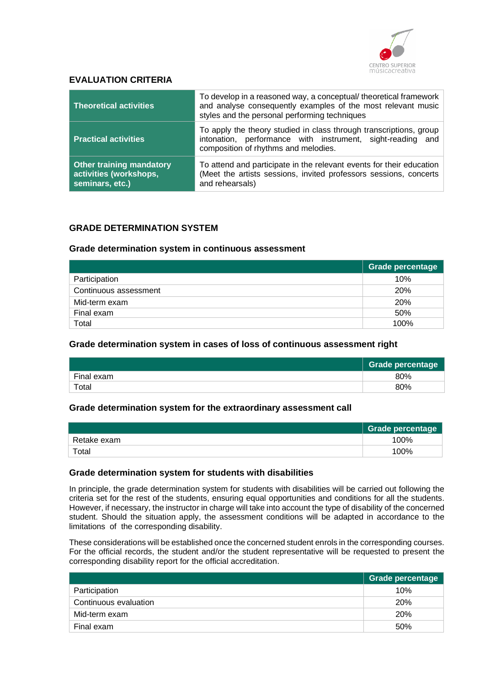

### **EVALUATION CRITERIA**

| <b>Theoretical activities</b>                                                | To develop in a reasoned way, a conceptual/theoretical framework<br>and analyse consequently examples of the most relevant music<br>styles and the personal performing techniques |  |
|------------------------------------------------------------------------------|-----------------------------------------------------------------------------------------------------------------------------------------------------------------------------------|--|
| <b>Practical activities</b>                                                  | To apply the theory studied in class through transcriptions, group<br>intonation, performance with instrument, sight-reading and<br>composition of rhythms and melodies.          |  |
| <b>Other training mandatory</b><br>activities (workshops,<br>seminars, etc.) | To attend and participate in the relevant events for their education<br>(Meet the artists sessions, invited professors sessions, concerts<br>and rehearsals)                      |  |

### **GRADE DETERMINATION SYSTEM**

#### **Grade determination system in continuous assessment**

|                       | <b>Grade percentage</b> |
|-----------------------|-------------------------|
| Participation         | 10%                     |
| Continuous assessment | <b>20%</b>              |
| Mid-term exam         | <b>20%</b>              |
| Final exam            | 50%                     |
| Total                 | 100%                    |

### **Grade determination system in cases of loss of continuous assessment right**

|            | <b>Grade percentage</b> |
|------------|-------------------------|
| Final exam | 80%                     |
| Total      | 80%                     |

#### **Grade determination system for the extraordinary assessment call**

|             | Grade percentage |
|-------------|------------------|
| Retake exam | 100%             |
| Total       | 100%             |

#### **Grade determination system for students with disabilities**

In principle, the grade determination system for students with disabilities will be carried out following the criteria set for the rest of the students, ensuring equal opportunities and conditions for all the students. However, if necessary, the instructor in charge will take into account the type of disability of the concerned student. Should the situation apply, the assessment conditions will be adapted in accordance to the limitations of the corresponding disability.

These considerations will be established once the concerned student enrols in the corresponding courses. For the official records, the student and/or the student representative will be requested to present the corresponding disability report for the official accreditation.

|                       | Grade percentage |
|-----------------------|------------------|
| Participation         | 10%              |
| Continuous evaluation | <b>20%</b>       |
| Mid-term exam         | <b>20%</b>       |
| Final exam            | 50%              |